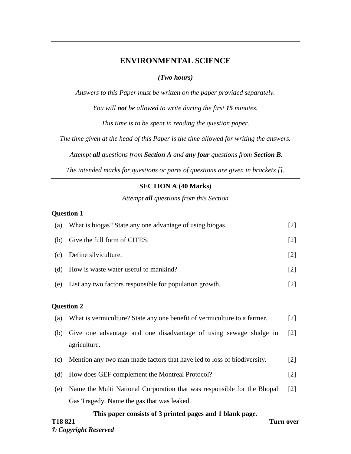# **ENVIRONMENTAL SCIENCE**

# *(Two hours)*

*Answers to this Paper must be written on the paper provided separately.* 

*You will not be allowed to write during the first 15 minutes.* 

*This time is to be spent in reading the question paper.*

*The time given at the head of this Paper is the time allowed for writing the answers.*

*Attempt all questions from Section A and any four questions from Section B.* 

*The intended marks for questions or parts of questions are given in brackets [].*

# **SECTION A (40 Marks)**

*Attempt all questions from this Section*

# **Question 1**

| (a) | What is biogas? State any one advantage of using biogas.                          | $[2]$             |
|-----|-----------------------------------------------------------------------------------|-------------------|
| (b) | Give the full form of CITES.                                                      | $[2]$             |
| (c) | Define silviculture.                                                              | $[2]$             |
| (d) | How is waste water useful to mankind?                                             | $[2]$             |
| (e) | List any two factors responsible for population growth.                           | $[2]$             |
|     | <b>Question 2</b>                                                                 |                   |
| (a) | What is vermiculture? State any one benefit of vermiculture to a farmer.          | $\lceil 2 \rceil$ |
| (b) | Give one advantage and one disadvantage of using sewage sludge in<br>agriculture. | [2]               |
| (c) | Mention any two man made factors that have led to loss of biodiversity.           | $[2]$             |
| (d) | How does GEF complement the Montreal Protocol?                                    | $[2]$             |
| (e) | Name the Multi National Corporation that was responsible for the Bhopal           | $\lceil 2 \rceil$ |
|     | Gas Tragedy. Name the gas that was leaked.                                        |                   |

## **This paper consists of 3 printed pages and 1 blank page.**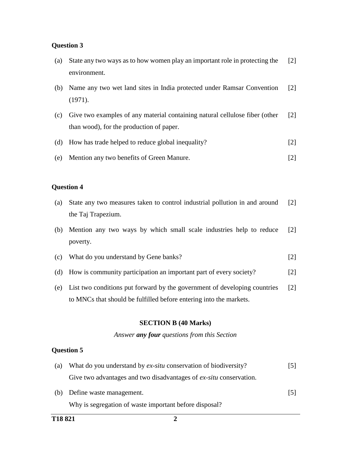## **Question 3**

| (a) | State any two ways as to how women play an important role in protecting the<br>environment.                             | $\lceil 2 \rceil$ |
|-----|-------------------------------------------------------------------------------------------------------------------------|-------------------|
| (b) | Name any two wet land sites in India protected under Ramsar Convention<br>(1971).                                       | $\lceil 2 \rceil$ |
| (c) | Give two examples of any material containing natural cellulose fiber (other<br>than wood), for the production of paper. | $\lceil 2 \rceil$ |
| (d) | How has trade helped to reduce global inequality?                                                                       | $\lceil 2 \rceil$ |
| (e) | Mention any two benefits of Green Manure.                                                                               | $\lceil 2 \rceil$ |

# **Question 4**

| (a) State any two measures taken to control industrial pollution in and around [2] |  |
|------------------------------------------------------------------------------------|--|
| the Taj Trapezium.                                                                 |  |

- (b) Mention any two ways by which small scale industries help to reduce poverty. [2]
- (c) What do you understand by Gene banks? [2]
- (d) How is community participation an important part of every society? [2]
- (e) List two conditions put forward by the government of developing countries to MNCs that should be fulfilled before entering into the markets. [2]

### **SECTION B (40 Marks)**

#### *Answer any four questions from this Section*

### **Question 5**

| (a) | What do you understand by ex-situ conservation of biodiversity?           | $\lceil 5 \rceil$ |
|-----|---------------------------------------------------------------------------|-------------------|
|     | Give two advantages and two disadvantages of <i>ex-situ</i> conservation. |                   |
|     |                                                                           |                   |

[5]

(b) Define waste management. Why is segregation of waste important before disposal?